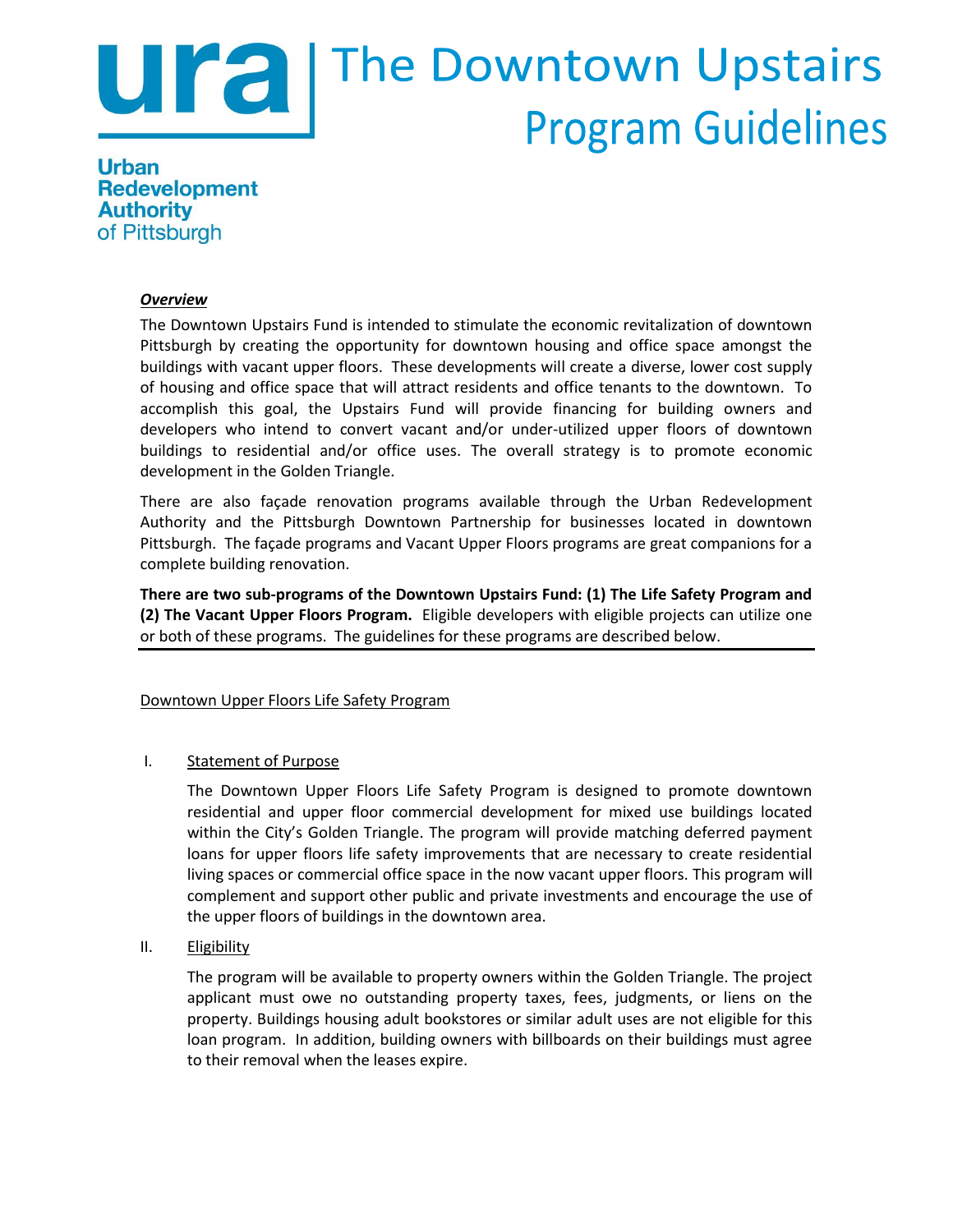# Ura | The Downtown Upstairs **Program Guidelines**

**Urban Redevelopment Authority** of Pittsburgh

## *Overview*

The Downtown Upstairs Fund is intended to stimulate the economic revitalization of downtown Pittsburgh by creating the opportunity for downtown housing and office space amongst the buildings with vacant upper floors. These developments will create a diverse, lower cost supply of housing and office space that will attract residents and office tenants to the downtown. To accomplish this goal, the Upstairs Fund will provide financing for building owners and developers who intend to convert vacant and/or under-utilized upper floors of downtown buildings to residential and/or office uses. The overall strategy is to promote economic development in the Golden Triangle.

There are also façade renovation programs available through the Urban Redevelopment Authority and the Pittsburgh Downtown Partnership for businesses located in downtown Pittsburgh. The façade programs and Vacant Upper Floors programs are great companions for a complete building renovation.

**There are two sub-programs of the Downtown Upstairs Fund: (1) The Life Safety Program and (2) The Vacant Upper Floors Program.** Eligible developers with eligible projects can utilize one or both of these programs. The guidelines for these programs are described below.

## Downtown Upper Floors Life Safety Program

## I. Statement of Purpose

The Downtown Upper Floors Life Safety Program is designed to promote downtown residential and upper floor commercial development for mixed use buildings located within the City's Golden Triangle. The program will provide matching deferred payment loans for upper floors life safety improvements that are necessary to create residential living spaces or commercial office space in the now vacant upper floors. This program will complement and support other public and private investments and encourage the use of the upper floors of buildings in the downtown area.

## II. Eligibility

The program will be available to property owners within the Golden Triangle. The project applicant must owe no outstanding property taxes, fees, judgments, or liens on the property. Buildings housing adult bookstores or similar adult uses are not eligible for this loan program. In addition, building owners with billboards on their buildings must agree to their removal when the leases expire.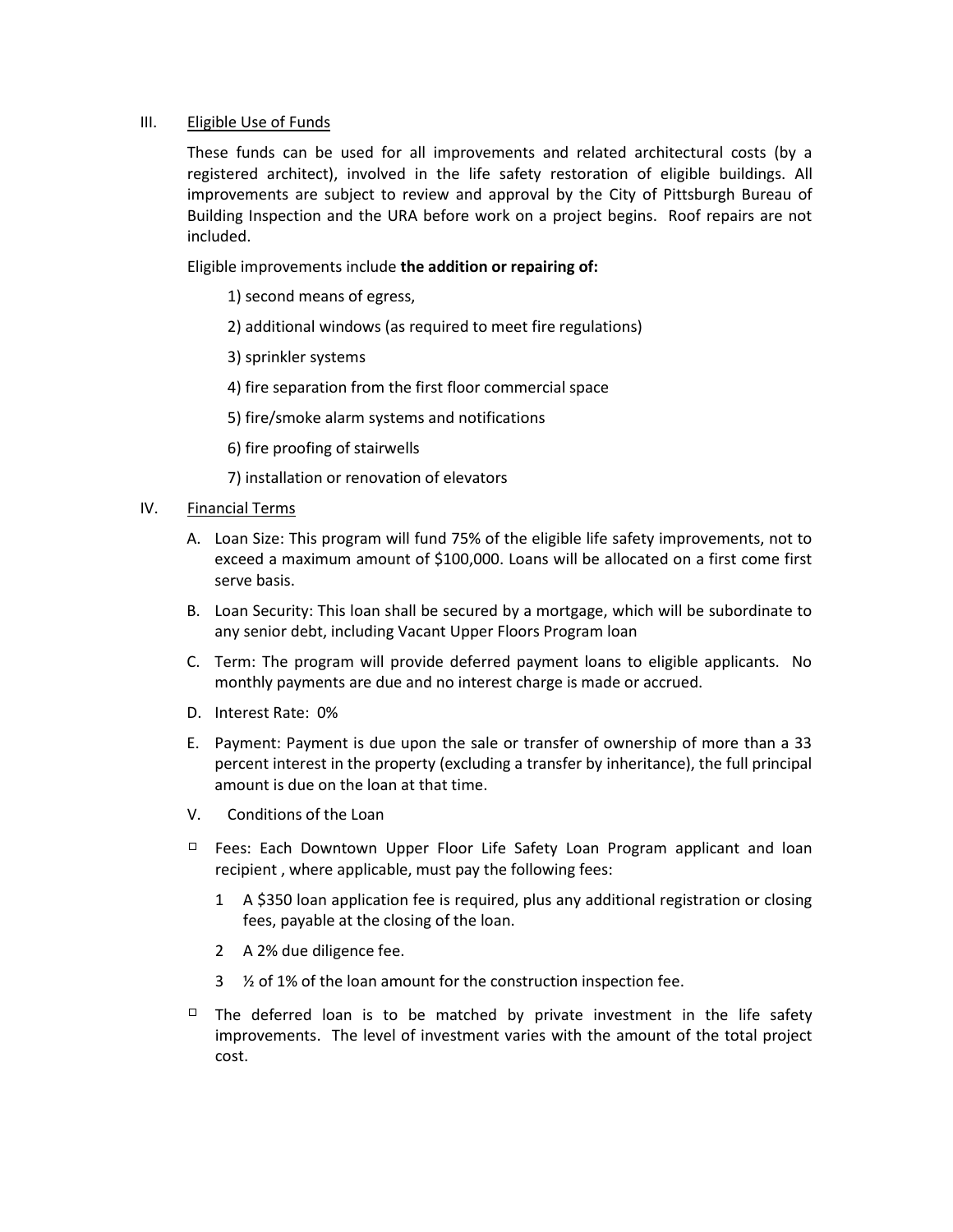#### III. Eligible Use of Funds

These funds can be used for all improvements and related architectural costs (by a registered architect), involved in the life safety restoration of eligible buildings. All improvements are subject to review and approval by the City of Pittsburgh Bureau of Building Inspection and the URA before work on a project begins. Roof repairs are not included.

Eligible improvements include **the addition or repairing of:**

1) second means of egress,

2) additional windows (as required to meet fire regulations)

3) sprinkler systems

4) fire separation from the first floor commercial space

5) fire/smoke alarm systems and notifications

6) fire proofing of stairwells

7) installation or renovation of elevators

- IV. Financial Terms
	- A. Loan Size: This program will fund 75% of the eligible life safety improvements, not to exceed a maximum amount of \$100,000. Loans will be allocated on a first come first serve basis.
	- B. Loan Security: This loan shall be secured by a mortgage, which will be subordinate to any senior debt, including Vacant Upper Floors Program loan
	- C. Term: The program will provide deferred payment loans to eligible applicants. No monthly payments are due and no interest charge is made or accrued.
	- D. Interest Rate: 0%
	- E. Payment: Payment is due upon the sale or transfer of ownership of more than a 33 percent interest in the property (excluding a transfer by inheritance), the full principal amount is due on the loan at that time.
	- V. Conditions of the Loan
	- $\Box$  Fees: Each Downtown Upper Floor Life Safety Loan Program applicant and loan recipient , where applicable, must pay the following fees:
		- 1 A \$350 loan application fee is required, plus any additional registration or closing fees, payable at the closing of the loan.
		- 2 A 2% due diligence fee.
		- 3 ½ of 1% of the loan amount for the construction inspection fee.
	- $\Box$  The deferred loan is to be matched by private investment in the life safety improvements. The level of investment varies with the amount of the total project cost.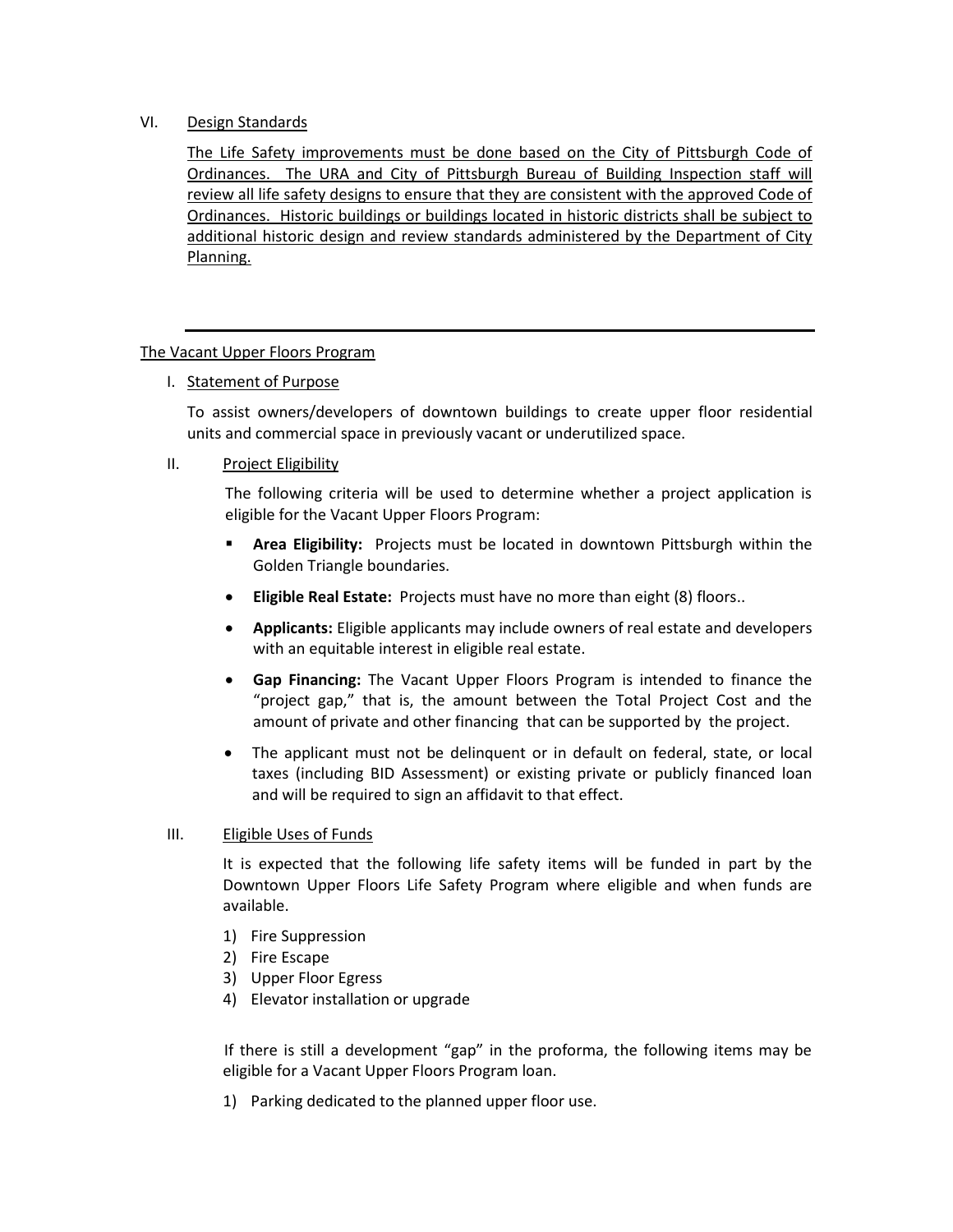## VI. Design Standards

The Life Safety improvements must be done based on the City of Pittsburgh Code of Ordinances.The URA and City of Pittsburgh Bureau of Building Inspection staff will review all life safety designs to ensure that they are consistent with the approved Code of Ordinances. Historic buildings or buildings located in historic districts shall be subject to additional historic design and review standards administered by the Department of City Planning.

#### The Vacant Upper Floors Program

I. Statement of Purpose

To assist owners/developers of downtown buildings to create upper floor residential units and commercial space in previously vacant or underutilized space.

#### II. Project Eligibility

The following criteria will be used to determine whether a project application is eligible for the Vacant Upper Floors Program:

- **Area Eligibility:** Projects must be located in downtown Pittsburgh within the Golden Triangle boundaries.
- **Eligible Real Estate:** Projects must have no more than eight (8) floors..
- **Applicants:** Eligible applicants may include owners of real estate and developers with an equitable interest in eligible real estate.
- **Gap Financing:** The Vacant Upper Floors Program is intended to finance the "project gap," that is, the amount between the Total Project Cost and the amount of private and other financing that can be supported by the project.
- The applicant must not be delinquent or in default on federal, state, or local taxes (including BID Assessment) or existing private or publicly financed loan and will be required to sign an affidavit to that effect.

#### III. Eligible Uses of Funds

It is expected that the following life safety items will be funded in part by the Downtown Upper Floors Life Safety Program where eligible and when funds are available.

- 1) Fire Suppression
- 2) Fire Escape
- 3) Upper Floor Egress
- 4) Elevator installation or upgrade

If there is still a development "gap" in the proforma, the following items may be eligible for a Vacant Upper Floors Program loan.

1) Parking dedicated to the planned upper floor use.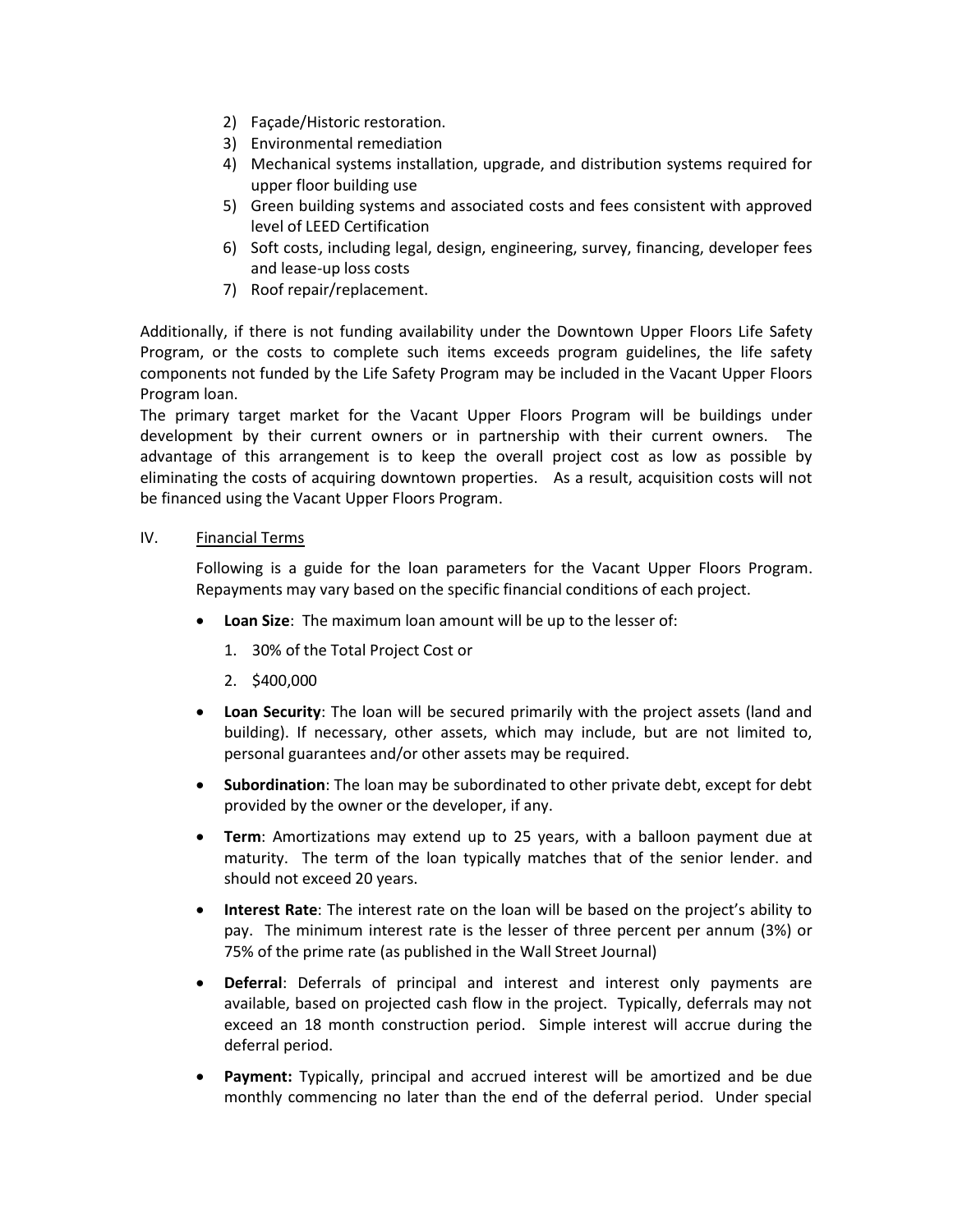- 2) Façade/Historic restoration.
- 3) Environmental remediation
- 4) Mechanical systems installation, upgrade, and distribution systems required for upper floor building use
- 5) Green building systems and associated costs and fees consistent with approved level of LEED Certification
- 6) Soft costs, including legal, design, engineering, survey, financing, developer fees and lease-up loss costs
- 7) Roof repair/replacement.

Additionally, if there is not funding availability under the Downtown Upper Floors Life Safety Program, or the costs to complete such items exceeds program guidelines, the life safety components not funded by the Life Safety Program may be included in the Vacant Upper Floors Program loan.

The primary target market for the Vacant Upper Floors Program will be buildings under development by their current owners or in partnership with their current owners. The advantage of this arrangement is to keep the overall project cost as low as possible by eliminating the costs of acquiring downtown properties. As a result, acquisition costs will not be financed using the Vacant Upper Floors Program.

## IV. Financial Terms

Following is a guide for the loan parameters for the Vacant Upper Floors Program. Repayments may vary based on the specific financial conditions of each project.

- **Loan Size**: The maximum loan amount will be up to the lesser of:
	- 1. 30% of the Total Project Cost or
	- 2. \$400,000
- **Loan Security**: The loan will be secured primarily with the project assets (land and building). If necessary, other assets, which may include, but are not limited to, personal guarantees and/or other assets may be required.
- **Subordination**: The loan may be subordinated to other private debt, except for debt provided by the owner or the developer, if any.
- **Term**: Amortizations may extend up to 25 years, with a balloon payment due at maturity. The term of the loan typically matches that of the senior lender. and should not exceed 20 years.
- **Interest Rate**: The interest rate on the loan will be based on the project's ability to pay. The minimum interest rate is the lesser of three percent per annum (3%) or 75% of the prime rate (as published in the Wall Street Journal)
- **Deferral**: Deferrals of principal and interest and interest only payments are available, based on projected cash flow in the project. Typically, deferrals may not exceed an 18 month construction period. Simple interest will accrue during the deferral period.
- **Payment:** Typically, principal and accrued interest will be amortized and be due monthly commencing no later than the end of the deferral period. Under special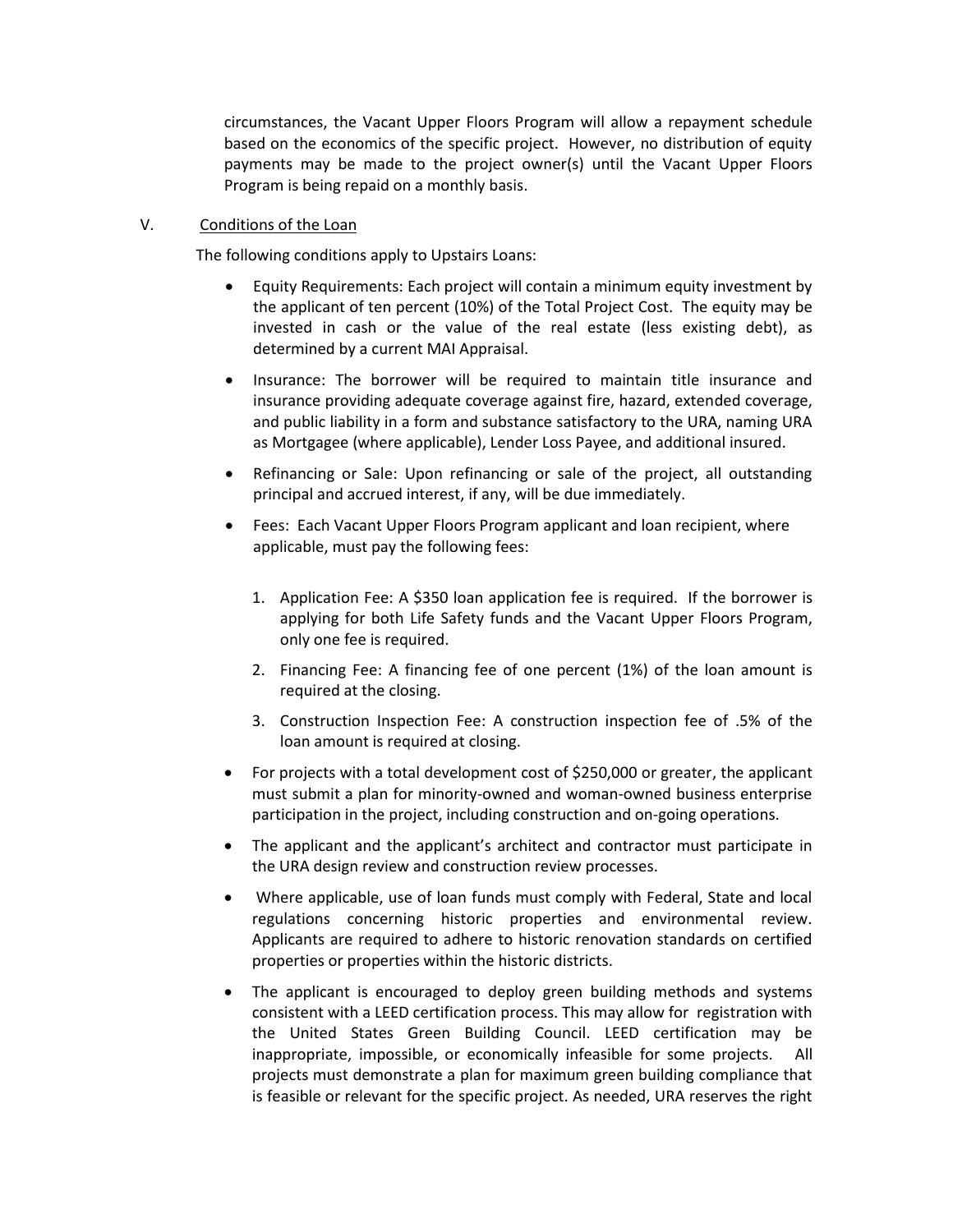circumstances, the Vacant Upper Floors Program will allow a repayment schedule based on the economics of the specific project. However, no distribution of equity payments may be made to the project owner(s) until the Vacant Upper Floors Program is being repaid on a monthly basis.

## V. Conditions of the Loan

The following conditions apply to Upstairs Loans:

- Equity Requirements: Each project will contain a minimum equity investment by the applicant of ten percent (10%) of the Total Project Cost. The equity may be invested in cash or the value of the real estate (less existing debt), as determined by a current MAI Appraisal.
- Insurance: The borrower will be required to maintain title insurance and insurance providing adequate coverage against fire, hazard, extended coverage, and public liability in a form and substance satisfactory to the URA, naming URA as Mortgagee (where applicable), Lender Loss Payee, and additional insured.
- Refinancing or Sale: Upon refinancing or sale of the project, all outstanding principal and accrued interest, if any, will be due immediately.
- Fees: Each Vacant Upper Floors Program applicant and loan recipient, where applicable, must pay the following fees:
	- 1. Application Fee: A \$350 loan application fee is required. If the borrower is applying for both Life Safety funds and the Vacant Upper Floors Program, only one fee is required.
	- 2. Financing Fee: A financing fee of one percent (1%) of the loan amount is required at the closing.
	- 3. Construction Inspection Fee: A construction inspection fee of .5% of the loan amount is required at closing.
- For projects with a total development cost of \$250,000 or greater, the applicant must submit a plan for minority-owned and woman-owned business enterprise participation in the project, including construction and on-going operations.
- The applicant and the applicant's architect and contractor must participate in the URA design review and construction review processes.
- Where applicable, use of loan funds must comply with Federal, State and local regulations concerning historic properties and environmental review. Applicants are required to adhere to historic renovation standards on certified properties or properties within the historic districts.
- The applicant is encouraged to deploy green building methods and systems consistent with a LEED certification process. This may allow for registration with the United States Green Building Council. LEED certification may be inappropriate, impossible, or economically infeasible for some projects. All projects must demonstrate a plan for maximum green building compliance that is feasible or relevant for the specific project. As needed, URA reserves the right